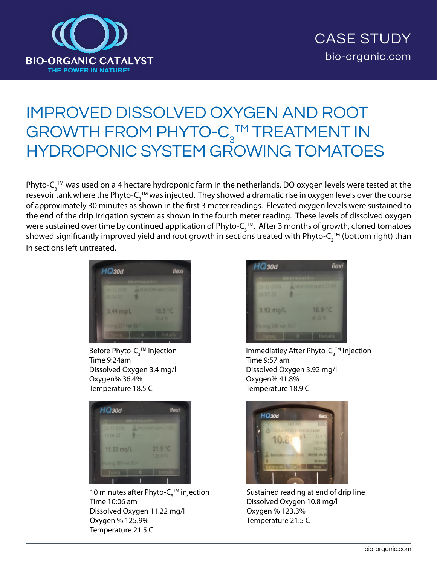

## IMPROVED DISSOLVED OXYGEN AND ROOT GROWTH FROM PHYTO- $C_3^{\text{TM}}$  TREATMENT IN HYDROPONIC SYSTEM GROWING TOMATOES

Phyto-C $_3^{\text{\tiny{\textsf{TM}}}}$  was used on a 4 hectare hydroponic farm in the netherlands. DO oxygen levels were tested at the resevoir tank where the Phyto-C $_3^{\tau \rm \sf M}$  was injected. They showed a dramatic rise in oxygen levels over the course of approximately 30 minutes as shown in the first 3 meter readings. Elevated oxygen levels were sustained to the end of the drip irrigation system as shown in the fourth meter reading. These levels of dissolved oxygen were sustained over time by continued application of Phyto-C $_3^{\text{\tiny\textsf{TM}}}$ . After 3 months of growth, cloned tomatoes showed significantly improved yield and root growth in sections treated with Phyto-C $_3^{\tau{\rm M}}$  (bottom right) than in sections left untreated.



Before Phyto- $\mathsf{C}_\mathfrak{z}^{\scriptscriptstyle \top\!\mathsf{M}}$  injection Time 9:24am Dissolved Oxygen 3.4 mg/l Oxygen% 36.4% Temperature 18.5 C



10 minutes after Phyto- $C_3^{\text{TM}}$  injection Time 10:06 am Dissolved Oxygen 11.22 mg/l Oxygen % 125.9% Temperature 21.5 C



Immediatley After Phyto-C $_3^{\text{\tiny{\textsf{TM}}}}$  injection Time 9:57 am Dissolved Oxygen 3.92 mg/l Oxygen% 41.8% Temperature 18.9 C



Sustained reading at end of drip line Dissolved Oxygen 10.8 mg/l Oxygen % 123.3% Temperature 21.5 C